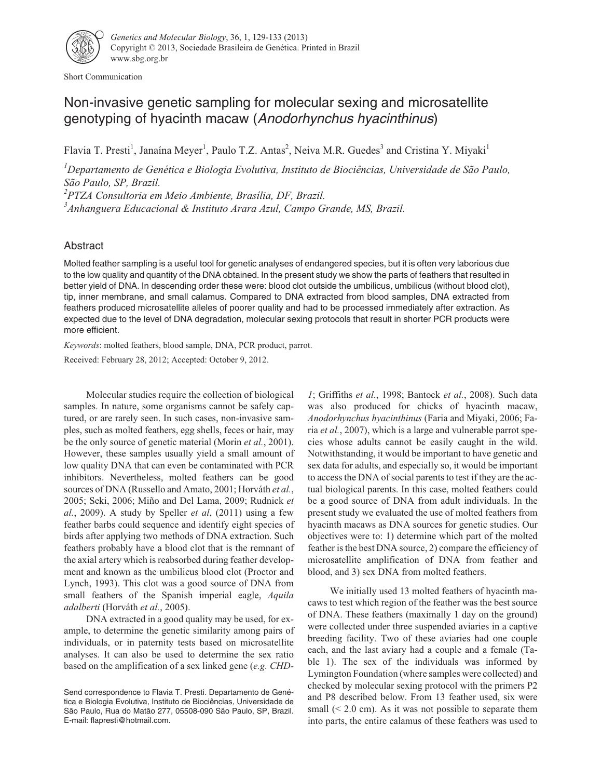

Short Communication

## Non-invasive genetic sampling for molecular sexing and microsatellite genotyping of hyacinth macaw (Anodorhynchus hyacinthinus)

Flavia T. Presti<sup>1</sup>, Janaína Meyer<sup>1</sup>, Paulo T.Z. Antas<sup>2</sup>, Neiva M.R. Guedes<sup>3</sup> and Cristina Y. Miyaki<sup>1</sup>

*1 Departamento de Genética e Biologia Evolutiva, Instituto de Biociências, Universidade de São Paulo, São Paulo, SP, Brazil.*

*2 PTZA Consultoria em Meio Ambiente, Brasília, DF, Brazil.*

*3 Anhanguera Educacional & Instituto Arara Azul, Campo Grande, MS, Brazil.*

## Abstract

Molted feather sampling is a useful tool for genetic analyses of endangered species, but it is often very laborious due to the low quality and quantity of the DNA obtained. In the present study we show the parts of feathers that resulted in better yield of DNA. In descending order these were: blood clot outside the umbilicus, umbilicus (without blood clot), tip, inner membrane, and small calamus. Compared to DNA extracted from blood samples, DNA extracted from feathers produced microsatellite alleles of poorer quality and had to be processed immediately after extraction. As expected due to the level of DNA degradation, molecular sexing protocols that result in shorter PCR products were more efficient.

*Keywords*: molted feathers, blood sample, DNA, PCR product, parrot.

Received: February 28, 2012; Accepted: October 9, 2012.

Molecular studies require the collection of biological samples. In nature, some organisms cannot be safely captured, or are rarely seen. In such cases, non-invasive samples, such as molted feathers, egg shells, feces or hair, may be the only source of genetic material (Morin *et al.*, 2001). However, these samples usually yield a small amount of low quality DNA that can even be contaminated with PCR inhibitors. Nevertheless, molted feathers can be good sources of DNA (Russello and Amato, 2001; Horváth *et al.*, 2005; Seki, 2006; Miño and Del Lama, 2009; Rudnick *et al.*, 2009). A study by Speller *et al*, (2011) using a few feather barbs could sequence and identify eight species of birds after applying two methods of DNA extraction. Such feathers probably have a blood clot that is the remnant of the axial artery which is reabsorbed during feather development and known as the umbilicus blood clot (Proctor and Lynch, 1993). This clot was a good source of DNA from small feathers of the Spanish imperial eagle, *Aquila adalberti* (Horváth *et al.*, 2005).

DNA extracted in a good quality may be used, for example, to determine the genetic similarity among pairs of individuals, or in paternity tests based on microsatellite analyses. It can also be used to determine the sex ratio based on the amplification of a sex linked gene (*e.g. CHD-*

*1*; Griffiths *et al.*, 1998; Bantock *et al.*, 2008). Such data was also produced for chicks of hyacinth macaw, *Anodorhynchus hyacinthinus* (Faria and Miyaki, 2006; Faria *et al.*, 2007), which is a large and vulnerable parrot species whose adults cannot be easily caught in the wild. Notwithstanding, it would be important to have genetic and sex data for adults, and especially so, it would be important to access the DNA of social parents to test if they are the actual biological parents. In this case, molted feathers could be a good source of DNA from adult individuals. In the present study we evaluated the use of molted feathers from hyacinth macaws as DNA sources for genetic studies. Our objectives were to: 1) determine which part of the molted feather is the best DNA source, 2) compare the efficiency of microsatellite amplification of DNA from feather and blood, and 3) sex DNA from molted feathers.

We initially used 13 molted feathers of hyacinth macaws to test which region of the feather was the best source of DNA. These feathers (maximally 1 day on the ground) were collected under three suspended aviaries in a captive breeding facility. Two of these aviaries had one couple each, and the last aviary had a couple and a female (Table 1). The sex of the individuals was informed by Lymington Foundation (where samples were collected) and checked by molecular sexing protocol with the primers P2 and P8 described below. From 13 feather used, six were small  $(< 2.0$  cm). As it was not possible to separate them into parts, the entire calamus of these feathers was used to

Send correspondence to Flavia T. Presti. Departamento de Genética e Biologia Evolutiva, Instituto de Biociências, Universidade de São Paulo, Rua do Matão 277, 05508-090 São Paulo, SP, Brazil. E-mail: flapresti@hotmail.com.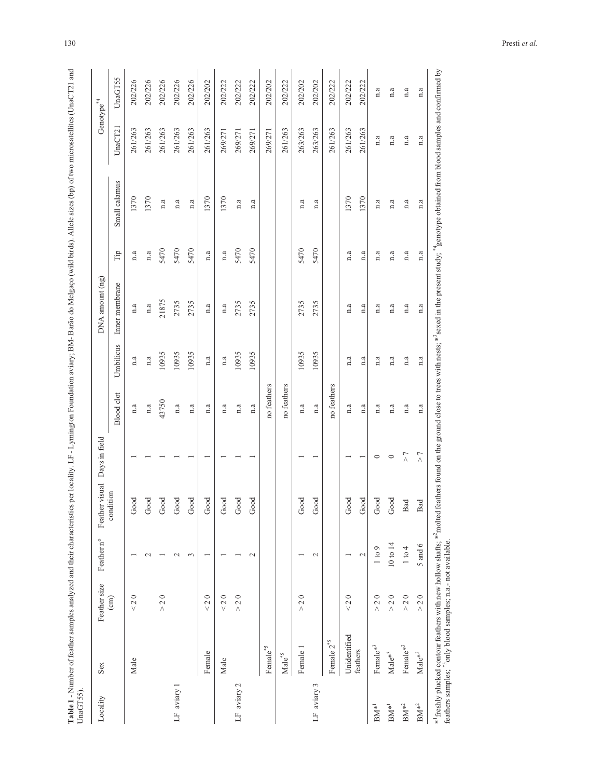| $\ddot{\phantom{a}}$<br>$\frac{1}{2}$ |                       |
|---------------------------------------|-----------------------|
|                                       |                       |
| $\frac{1}{2}$                         |                       |
|                                       |                       |
|                                       |                       |
|                                       |                       |
|                                       |                       |
|                                       |                       |
|                                       |                       |
|                                       |                       |
|                                       |                       |
| l                                     |                       |
|                                       |                       |
|                                       |                       |
| ¢                                     |                       |
|                                       |                       |
|                                       |                       |
|                                       |                       |
|                                       |                       |
|                                       |                       |
| $\frac{1}{2}$<br>į                    |                       |
|                                       |                       |
|                                       |                       |
|                                       |                       |
|                                       |                       |
| DM D <sub>om</sub>                    |                       |
|                                       |                       |
|                                       |                       |
|                                       |                       |
|                                       |                       |
|                                       |                       |
| ļ                                     |                       |
|                                       |                       |
|                                       |                       |
|                                       |                       |
| l                                     |                       |
| ו<br>ו<br>$\vdots$                    |                       |
|                                       |                       |
|                                       |                       |
| nar                                   |                       |
| l<br>$\frac{1}{2}$                    |                       |
| j                                     |                       |
| j                                     |                       |
| ļ                                     |                       |
| ł                                     |                       |
| 1                                     |                       |
|                                       |                       |
|                                       |                       |
| í                                     |                       |
| ï                                     |                       |
| l                                     |                       |
| ł                                     |                       |
| ï                                     |                       |
| ś                                     |                       |
| i                                     |                       |
|                                       |                       |
| i                                     |                       |
|                                       |                       |
| I<br>֕                                | ι<br>Í<br>i<br>F<br>j |
| ¢<br>į                                |                       |

| Locality            | Sex                  | Feather size                    | Feather n°        | Feather visual | Days in field            |                   |                         | DNA amount (ng)         |      |                         | Genotype $4$ |         |
|---------------------|----------------------|---------------------------------|-------------------|----------------|--------------------------|-------------------|-------------------------|-------------------------|------|-------------------------|--------------|---------|
|                     |                      | $\text{cm}$                     |                   | condition      |                          | <b>Blood</b> clot | Umbilicus               | Inner membrane          | Tip  | Small calamus           | UnaCT21      | UnaGT55 |
|                     | Male                 | $\circ$<br>$\frac{2}{\sqrt{2}}$ |                   | Good           |                          | n.a               | n.a                     | n.a                     | n.a  | 1370                    | 261/263      | 202/226 |
|                     |                      |                                 | $\sim$            | Good           |                          | n.a               | $\mathbf{n}.\mathbf{a}$ | $\mathbf{n}.\mathbf{a}$ | n.a  | 1370                    | 261/263      | 202/226 |
|                     |                      | 20<br>$\wedge$                  |                   | 300d           |                          | 43750             | 10935                   | 21875                   | 5470 | n.a                     | 261/263      | 202/226 |
| LF aviary 1         |                      |                                 | $\mathbf 2$       | bood           |                          | n.a               | 10935                   | 2735                    | 5470 | a                       | 261/263      | 202/226 |
|                     |                      |                                 | $\epsilon$        | 300d           |                          | n.a               | 10935                   | 2735                    | 5470 | n.a                     | 261/263      | 202/226 |
|                     | Female               | $\circ$<br>$\frac{2}{\sqrt{2}}$ |                   | 300d           |                          | n.a               | n.a                     | n.a                     | n.a  | 1370                    | 261/263      | 202/202 |
|                     | Male                 | < 20                            |                   | bood           |                          | n.a               | n.a                     | n.a                     | n.a  | 1370                    | 269/271      | 202/222 |
| LF aviary 2         |                      | $> 2.0$                         |                   | 1000           |                          | n.a               | 10935                   | 2735                    | 5470 | n.a                     | 269/271      | 202/222 |
|                     |                      |                                 | $\mathcal{L}$     | 300d           |                          | n.a               | 10935                   | 2735                    | 5470 | n.a                     | 269/271      | 202/222 |
|                     | Female*5             |                                 |                   |                |                          | no feathers       |                         |                         |      |                         | 269/271      | 202/202 |
|                     | $\mathbf{Male}^{*5}$ |                                 |                   |                |                          | no feathers       |                         |                         |      |                         | 261/263      | 202/222 |
|                     | Female 1             | $\circ$<br>$\sim$<br>Λ          |                   | Good           |                          | n.a               | 10935                   | 2735                    | 5470 | n.a                     | 263/263      | 202/202 |
| LF aviary 3         |                      |                                 | $\sim$            | Good           |                          | n.a               | 10935                   | 2735                    | 5470 | n.a                     | 263/263      | 202/202 |
|                     | Female $2^{\ast 5}$  |                                 |                   |                |                          | no feathers       |                         |                         |      |                         | 261/263      | 202/222 |
|                     | Unidentified         | $\circ$<br>$\sim$<br>$\vee$     |                   | Good           |                          | n.a               | n.a                     | n.a                     | n.a  | 1370                    | 261/263      | 202/222 |
|                     | feathers             |                                 | $\mathbf{\sim}$   | bood           |                          | n.a               | n.a                     | n.a                     | n.a  | 1370                    | 261/263      | 202/222 |
| $\mathbf{BM}^{*1}$  | Female* <sup>3</sup> | $\circ$<br>$\sim$<br>$\wedge$   | $1 \text{ to } 9$ | 300d           | $\circ$                  | n.a               | n.a                     | n.a                     | n.a  | n.a                     | n.a          | n.a     |
| $\mathbf{BM}^{*1}$  | $\mathbf{Male}^{*3}$ | $200$<br>$\wedge$               | 10 to 14          | Good           | $\circ$                  | n.a               | n.a                     | n.a                     | n.a  | n.a                     | n.a          | n.a     |
| $\mathrm{BM}^{*^2}$ | Female* <sup>3</sup> | $> 2.0$                         | 1 to 4            | <b>Bad</b>     | $\overline{\phantom{a}}$ | n.a               | n.a                     | n.a                     | n.a  | n.a                     | n.a          | n.a     |
| $\mathbf{BM}^{*2}$  | $\mathbf{Male}^{*3}$ | $2\;0$<br>$\wedge$              | $5$ and $6$       | Bad            | $\geq 7$                 | n.a               | $\mathbf{n}.\mathbf{a}$ | n.a                     | n.a  | $\mathbf{n}.\mathbf{a}$ | n.a          | a       |

130 Presti *et al.*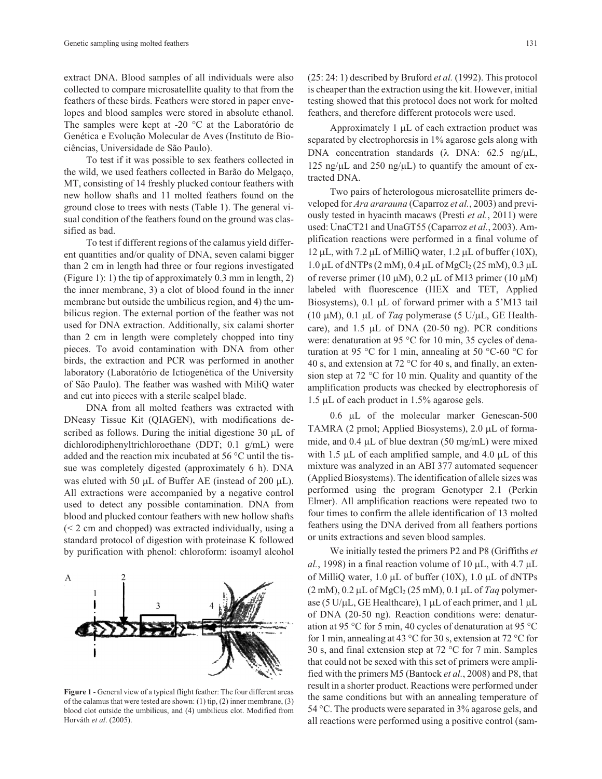extract DNA. Blood samples of all individuals were also collected to compare microsatellite quality to that from the feathers of these birds. Feathers were stored in paper envelopes and blood samples were stored in absolute ethanol. The samples were kept at -20 °C at the Laboratório de Genética e Evolução Molecular de Aves (Instituto de Biociências, Universidade de São Paulo).

To test if it was possible to sex feathers collected in the wild, we used feathers collected in Barão do Melgaço, MT, consisting of 14 freshly plucked contour feathers with new hollow shafts and 11 molted feathers found on the ground close to trees with nests (Table 1). The general visual condition of the feathers found on the ground was classified as bad.

To test if different regions of the calamus yield different quantities and/or quality of DNA, seven calami bigger than 2 cm in length had three or four regions investigated (Figure 1): 1) the tip of approximately 0.3 mm in length, 2) the inner membrane, 3) a clot of blood found in the inner membrane but outside the umbilicus region, and 4) the umbilicus region. The external portion of the feather was not used for DNA extraction. Additionally, six calami shorter than 2 cm in length were completely chopped into tiny pieces. To avoid contamination with DNA from other birds, the extraction and PCR was performed in another laboratory (Laboratório de Ictiogenética of the University of São Paulo). The feather was washed with MiliQ water and cut into pieces with a sterile scalpel blade.

DNA from all molted feathers was extracted with DNeasy Tissue Kit (QIAGEN), with modifications described as follows. During the initial digestione 30  $\mu$ L of dichlorodiphenyltrichloroethane (DDT; 0.1 g/mL) were added and the reaction mix incubated at 56 °C until the tissue was completely digested (approximately 6 h). DNA was eluted with 50  $\mu$ L of Buffer AE (instead of 200  $\mu$ L). All extractions were accompanied by a negative control used to detect any possible contamination. DNA from blood and plucked contour feathers with new hollow shafts (< 2 cm and chopped) was extracted individually, using a standard protocol of digestion with proteinase K followed by purification with phenol: chloroform: isoamyl alcohol

# A

## **Figure 1** - General view of a typical flight feather: The four different areas

3

of the calamus that were tested are shown: (1) tip, (2) inner membrane, (3) blood clot outside the umbilicus, and (4) umbilicus clot. Modified from Horváth *et al*. (2005).

(25: 24: 1) described by Bruford *et al.* (1992). This protocol is cheaper than the extraction using the kit. However, initial testing showed that this protocol does not work for molted feathers, and therefore different protocols were used.

Approximately  $1 \mu L$  of each extraction product was separated by electrophoresis in 1% agarose gels along with DNA concentration standards  $(\lambda$  DNA: 62.5 ng/ $\mu$ L, 125 ng/ $\mu$ L and 250 ng/ $\mu$ L) to quantify the amount of extracted DNA.

Two pairs of heterologous microsatellite primers developed for *Ara ararauna* (Caparroz *et al.*, 2003) and previously tested in hyacinth macaws (Presti *et al.*, 2011) were used: UnaCT21 and UnaGT55 (Caparroz *et al.*, 2003). Amplification reactions were performed in a final volume of  $12 \mu L$ , with 7.2  $\mu L$  of MilliQ water, 1.2  $\mu L$  of buffer (10X),  $1.0 \mu$ L of dNTPs (2 mM), 0.4 μL of MgCl<sub>2</sub> (25 mM), 0.3 μL of reverse primer (10  $\mu$ M), 0.2  $\mu$ L of M13 primer (10  $\mu$ M) labeled with fluorescence (HEX and TET, Applied Biosystems), 0.1 µL of forward primer with a 5'M13 tail (10  $\mu$ M), 0.1  $\mu$ L of *Taq* polymerase (5 U/ $\mu$ L, GE Healthcare), and  $1.5$   $\mu$ L of DNA (20-50 ng). PCR conditions were: denaturation at 95 °C for 10 min, 35 cycles of denaturation at 95 °C for 1 min, annealing at 50 °C-60 °C for 40 s, and extension at 72 °C for 40 s, and finally, an extension step at 72 °C for 10 min. Quality and quantity of the amplification products was checked by electrophoresis of  $1.5 \mu L$  of each product in 1.5% agarose gels.

 $0.6$  µL of the molecular marker Genescan-500 TAMRA  $(2 \text{ pmol}; \text{Applied Biosystems}), 2.0 \mu L$  of formamide, and  $0.4 \mu L$  of blue dextran (50 mg/mL) were mixed with 1.5  $\mu$ L of each amplified sample, and 4.0  $\mu$ L of this mixture was analyzed in an ABI 377 automated sequencer (Applied Biosystems). The identification of allele sizes was performed using the program Genotyper 2.1 (Perkin Elmer). All amplification reactions were repeated two to four times to confirm the allele identification of 13 molted feathers using the DNA derived from all feathers portions or units extractions and seven blood samples.

We initially tested the primers P2 and P8 (Griffiths *et* al., 1998) in a final reaction volume of 10  $\mu$ L, with 4.7  $\mu$ L of MilliQ water,  $1.0 \mu L$  of buffer (10X),  $1.0 \mu L$  of dNTPs  $(2 \text{ mM}), 0.2 \mu L$  of  $MgCl<sub>2</sub> (25 \text{ mM}), 0.1 \mu L$  of *Taq* polymerase (5 U/ $\mu$ L, GE Healthcare), 1  $\mu$ L of each primer, and 1  $\mu$ L of DNA (20-50 ng). Reaction conditions were: denaturation at 95 °C for 5 min, 40 cycles of denaturation at 95 °C for 1 min, annealing at 43 °C for 30 s, extension at 72 °C for 30 s, and final extension step at 72 °C for 7 min. Samples that could not be sexed with this set of primers were amplified with the primers M5 (Bantock *et al.*, 2008) and P8, that result in a shorter product. Reactions were performed under the same conditions but with an annealing temperature of 54 °C. The products were separated in 3% agarose gels, and all reactions were performed using a positive control (sam-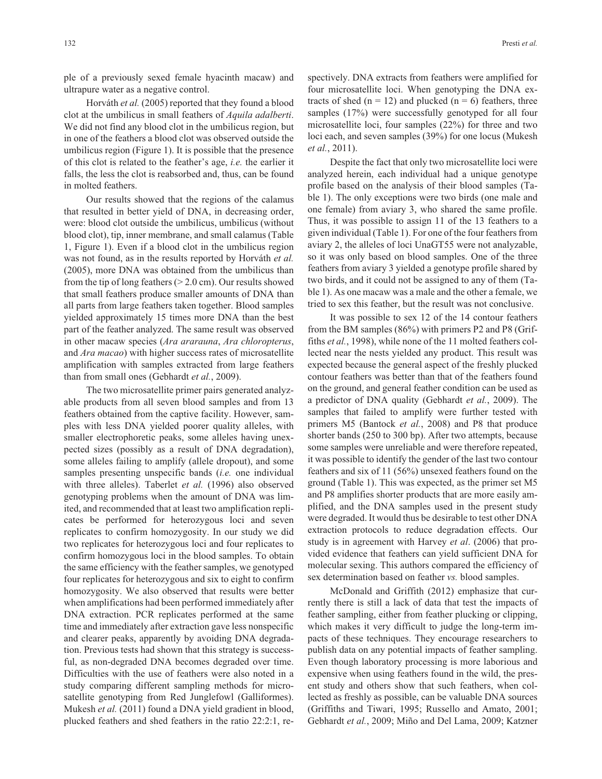ple of a previously sexed female hyacinth macaw) and ultrapure water as a negative control.

Horváth *et al.* (2005) reported that they found a blood clot at the umbilicus in small feathers of *Aquila adalberti*. We did not find any blood clot in the umbilicus region, but in one of the feathers a blood clot was observed outside the umbilicus region (Figure 1). It is possible that the presence of this clot is related to the feather's age, *i.e.* the earlier it falls, the less the clot is reabsorbed and, thus, can be found in molted feathers.

Our results showed that the regions of the calamus that resulted in better yield of DNA, in decreasing order, were: blood clot outside the umbilicus, umbilicus (without blood clot), tip, inner membrane, and small calamus (Table 1, Figure 1). Even if a blood clot in the umbilicus region was not found, as in the results reported by Horváth *et al.* (2005), more DNA was obtained from the umbilicus than from the tip of long feathers  $(> 2.0 \text{ cm})$ . Our results showed that small feathers produce smaller amounts of DNA than all parts from large feathers taken together. Blood samples yielded approximately 15 times more DNA than the best part of the feather analyzed. The same result was observed in other macaw species (*Ara ararauna*, *Ara chloropterus*, and *Ara macao*) with higher success rates of microsatellite amplification with samples extracted from large feathers than from small ones (Gebhardt *et al.*, 2009).

The two microsatellite primer pairs generated analyzable products from all seven blood samples and from 13 feathers obtained from the captive facility. However, samples with less DNA yielded poorer quality alleles, with smaller electrophoretic peaks, some alleles having unexpected sizes (possibly as a result of DNA degradation), some alleles failing to amplify (allele dropout), and some samples presenting unspecific bands (*i.e.* one individual with three alleles). Taberlet *et al.* (1996) also observed genotyping problems when the amount of DNA was limited, and recommended that at least two amplification replicates be performed for heterozygous loci and seven replicates to confirm homozygosity. In our study we did two replicates for heterozygous loci and four replicates to confirm homozygous loci in the blood samples. To obtain the same efficiency with the feather samples, we genotyped four replicates for heterozygous and six to eight to confirm homozygosity. We also observed that results were better when amplifications had been performed immediately after DNA extraction. PCR replicates performed at the same time and immediately after extraction gave less nonspecific and clearer peaks, apparently by avoiding DNA degradation. Previous tests had shown that this strategy is successful, as non-degraded DNA becomes degraded over time. Difficulties with the use of feathers were also noted in a study comparing different sampling methods for microsatellite genotyping from Red Junglefowl (Galliformes). Mukesh *et al.* (2011) found a DNA yield gradient in blood, plucked feathers and shed feathers in the ratio 22:2:1, respectively. DNA extracts from feathers were amplified for four microsatellite loci. When genotyping the DNA extracts of shed ( $n = 12$ ) and plucked ( $n = 6$ ) feathers, three samples (17%) were successfully genotyped for all four microsatellite loci, four samples (22%) for three and two loci each, and seven samples (39%) for one locus (Mukesh *et al.*, 2011).

Despite the fact that only two microsatellite loci were analyzed herein, each individual had a unique genotype profile based on the analysis of their blood samples (Table 1). The only exceptions were two birds (one male and one female) from aviary 3, who shared the same profile. Thus, it was possible to assign 11 of the 13 feathers to a given individual (Table 1). For one of the four feathers from aviary 2, the alleles of loci UnaGT55 were not analyzable, so it was only based on blood samples. One of the three feathers from aviary 3 yielded a genotype profile shared by two birds, and it could not be assigned to any of them (Table 1). As one macaw was a male and the other a female, we tried to sex this feather, but the result was not conclusive.

It was possible to sex 12 of the 14 contour feathers from the BM samples (86%) with primers P2 and P8 (Griffiths *et al.*, 1998), while none of the 11 molted feathers collected near the nests yielded any product. This result was expected because the general aspect of the freshly plucked contour feathers was better than that of the feathers found on the ground, and general feather condition can be used as a predictor of DNA quality (Gebhardt *et al.*, 2009). The samples that failed to amplify were further tested with primers M5 (Bantock *et al.*, 2008) and P8 that produce shorter bands (250 to 300 bp). After two attempts, because some samples were unreliable and were therefore repeated, it was possible to identify the gender of the last two contour feathers and six of 11 (56%) unsexed feathers found on the ground (Table 1). This was expected, as the primer set M5 and P8 amplifies shorter products that are more easily amplified, and the DNA samples used in the present study were degraded. It would thus be desirable to test other DNA extraction protocols to reduce degradation effects. Our study is in agreement with Harvey *et al*. (2006) that provided evidence that feathers can yield sufficient DNA for molecular sexing. This authors compared the efficiency of sex determination based on feather *vs.* blood samples.

McDonald and Griffith (2012) emphasize that currently there is still a lack of data that test the impacts of feather sampling, either from feather plucking or clipping, which makes it very difficult to judge the long-term impacts of these techniques. They encourage researchers to publish data on any potential impacts of feather sampling. Even though laboratory processing is more laborious and expensive when using feathers found in the wild, the present study and others show that such feathers, when collected as freshly as possible, can be valuable DNA sources (Griffiths and Tiwari, 1995; Russello and Amato, 2001; Gebhardt *et al.*, 2009; Miño and Del Lama, 2009; Katzner